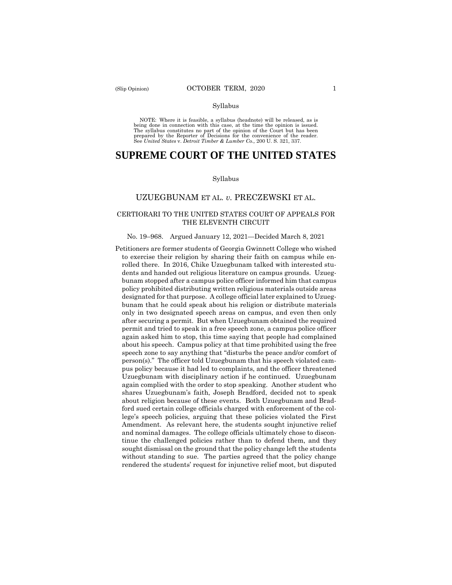#### Syllabus

 NOTE: Where it is feasible, a syllabus (headnote) will be released, as is being done in connection with this case, at the time the opinion is issued. The syllabus constitutes no part of the opinion of the Court but has been<br>prepared by the Reporter of Decisions for the convenience of the reader.<br>See United States v. Detroit Timber & Lumber Co., 200 U.S. 321, 337.

# **SUPREME COURT OF THE UNITED STATES**

#### Syllabus

# UZUEGBUNAM ET AL. *v.* PRECZEWSKI ET AL.

# CERTIORARI TO THE UNITED STATES COURT OF APPEALS FOR THE ELEVENTH CIRCUIT

### No. 19–968. Argued January 12, 2021—Decided March 8, 2021

Petitioners are former students of Georgia Gwinnett College who wished to exercise their religion by sharing their faith on campus while enrolled there. In 2016, Chike Uzuegbunam talked with interested students and handed out religious literature on campus grounds. Uzuegbunam stopped after a campus police officer informed him that campus policy prohibited distributing written religious materials outside areas designated for that purpose. A college official later explained to Uzuegbunam that he could speak about his religion or distribute materials only in two designated speech areas on campus, and even then only after securing a permit. But when Uzuegbunam obtained the required permit and tried to speak in a free speech zone, a campus police officer again asked him to stop, this time saying that people had complained about his speech. Campus policy at that time prohibited using the free speech zone to say anything that "disturbs the peace and/or comfort of person(s)." The officer told Uzuegbunam that his speech violated campus policy because it had led to complaints, and the officer threatened Uzuegbunam with disciplinary action if he continued. Uzuegbunam again complied with the order to stop speaking. Another student who shares Uzuegbunam's faith, Joseph Bradford, decided not to speak about religion because of these events. Both Uzuegbunam and Bradford sued certain college officials charged with enforcement of the college's speech policies, arguing that these policies violated the First Amendment. As relevant here, the students sought injunctive relief and nominal damages. The college officials ultimately chose to discontinue the challenged policies rather than to defend them, and they sought dismissal on the ground that the policy change left the students without standing to sue. The parties agreed that the policy change rendered the students' request for injunctive relief moot, but disputed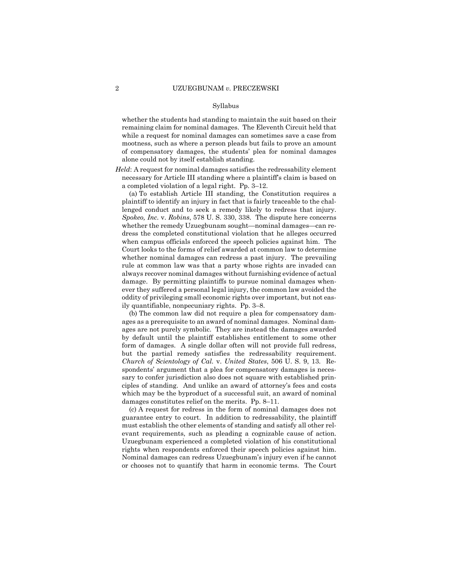#### Syllabus

whether the students had standing to maintain the suit based on their remaining claim for nominal damages. The Eleventh Circuit held that while a request for nominal damages can sometimes save a case from mootness, such as where a person pleads but fails to prove an amount of compensatory damages, the students' plea for nominal damages alone could not by itself establish standing.

*Held*: A request for nominal damages satisfies the redressability element necessary for Article III standing where a plaintiff's claim is based on a completed violation of a legal right. Pp. 3–12.

(a) To establish Article III standing, the Constitution requires a plaintiff to identify an injury in fact that is fairly traceable to the challenged conduct and to seek a remedy likely to redress that injury. *Spokeo, Inc.* v. *Robins*, 578 U. S. 330, 338. The dispute here concerns whether the remedy Uzuegbunam sought—nominal damages—can redress the completed constitutional violation that he alleges occurred when campus officials enforced the speech policies against him. The Court looks to the forms of relief awarded at common law to determine whether nominal damages can redress a past injury. The prevailing rule at common law was that a party whose rights are invaded can always recover nominal damages without furnishing evidence of actual damage. By permitting plaintiffs to pursue nominal damages whenever they suffered a personal legal injury, the common law avoided the oddity of privileging small economic rights over important, but not easily quantifiable, nonpecuniary rights. Pp. 3–8.

 but the partial remedy satisfies the redressability requirement. (b) The common law did not require a plea for compensatory damages as a prerequisite to an award of nominal damages. Nominal damages are not purely symbolic. They are instead the damages awarded by default until the plaintiff establishes entitlement to some other form of damages. A single dollar often will not provide full redress, *Church of Scientology of Cal.* v. *United States*, 506 U. S. 9, 13. Respondents' argument that a plea for compensatory damages is necessary to confer jurisdiction also does not square with established principles of standing. And unlike an award of attorney's fees and costs which may be the byproduct of a successful suit, an award of nominal damages constitutes relief on the merits. Pp. 8–11.

(c) A request for redress in the form of nominal damages does not guarantee entry to court. In addition to redressability, the plaintiff must establish the other elements of standing and satisfy all other relevant requirements, such as pleading a cognizable cause of action. Uzuegbunam experienced a completed violation of his constitutional rights when respondents enforced their speech policies against him. Nominal damages can redress Uzuegbunam's injury even if he cannot or chooses not to quantify that harm in economic terms. The Court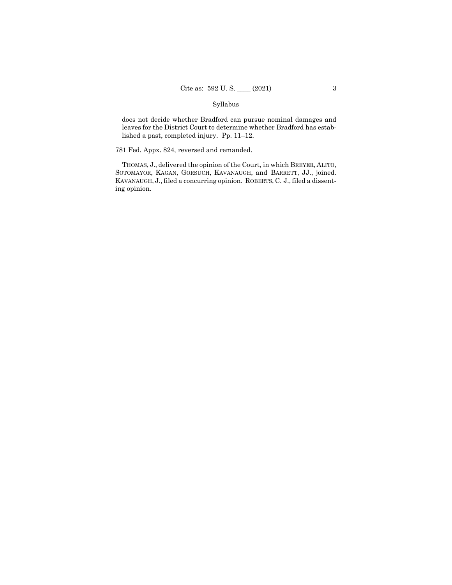# Syllabus

does not decide whether Bradford can pursue nominal damages and leaves for the District Court to determine whether Bradford has established a past, completed injury. Pp. 11–12.

781 Fed. Appx. 824, reversed and remanded.

 THOMAS, J., delivered the opinion of the Court, in which BREYER, ALITO, SOTOMAYOR, KAGAN, GORSUCH, KAVANAUGH, and BARRETT, JJ., joined. KAVANAUGH, J., filed a concurring opinion. ROBERTS, C. J., filed a dissenting opinion.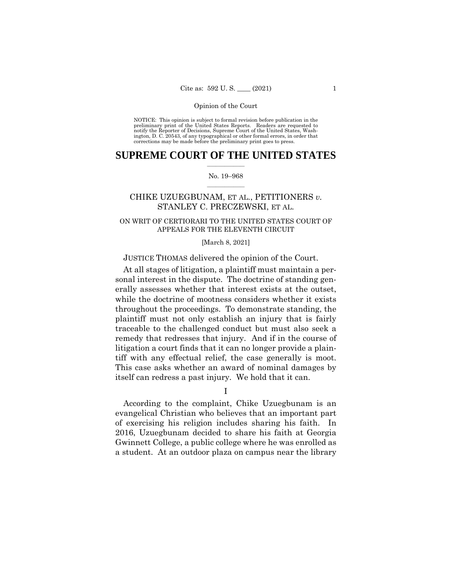NOTICE: This opinion is subject to formal revision before publication in the preliminary print of the United States Reports. Readers are requested to notify the Reporter of Decisions, Supreme Court of the United States, Wash-ington, D. C. 20543, of any typographical or other formal errors, in order that corrections may be made before the preliminary print goes to press.

# $\frac{1}{2}$  , where  $\frac{1}{2}$ **SUPREME COURT OF THE UNITED STATES**

## $\frac{1}{2}$  ,  $\frac{1}{2}$  ,  $\frac{1}{2}$  ,  $\frac{1}{2}$  ,  $\frac{1}{2}$  ,  $\frac{1}{2}$ No. 19–968

# CHIKE UZUEGBUNAM, ET AL., PETITIONERS *v.*  STANLEY C. PRECZEWSKI, ET AL.

# ON WRIT OF CERTIORARI TO THE UNITED STATES COURT OF APPEALS FOR THE ELEVENTH CIRCUIT

## [March 8, 2021]

# JUSTICE THOMAS delivered the opinion of the Court.

At all stages of litigation, a plaintiff must maintain a personal interest in the dispute. The doctrine of standing generally assesses whether that interest exists at the outset, while the doctrine of mootness considers whether it exists throughout the proceedings. To demonstrate standing, the plaintiff must not only establish an injury that is fairly traceable to the challenged conduct but must also seek a remedy that redresses that injury. And if in the course of litigation a court finds that it can no longer provide a plaintiff with any effectual relief, the case generally is moot. This case asks whether an award of nominal damages by itself can redress a past injury. We hold that it can.

I

According to the complaint, Chike Uzuegbunam is an evangelical Christian who believes that an important part of exercising his religion includes sharing his faith. In 2016, Uzuegbunam decided to share his faith at Georgia Gwinnett College, a public college where he was enrolled as a student. At an outdoor plaza on campus near the library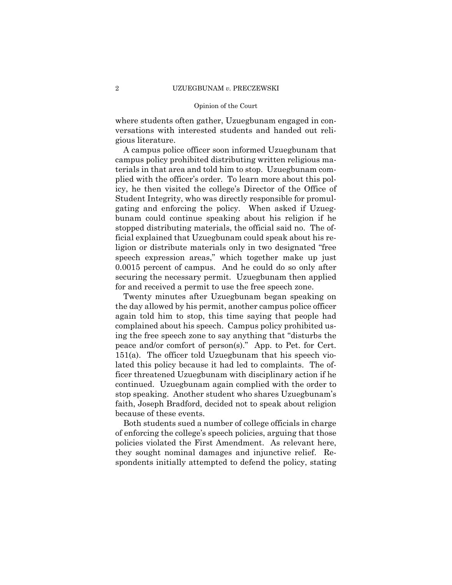where students often gather, Uzuegbunam engaged in conversations with interested students and handed out religious literature.

A campus police officer soon informed Uzuegbunam that campus policy prohibited distributing written religious materials in that area and told him to stop. Uzuegbunam complied with the officer's order. To learn more about this policy, he then visited the college's Director of the Office of Student Integrity, who was directly responsible for promulgating and enforcing the policy. When asked if Uzuegbunam could continue speaking about his religion if he stopped distributing materials, the official said no. The official explained that Uzuegbunam could speak about his religion or distribute materials only in two designated "free speech expression areas," which together make up just 0.0015 percent of campus. And he could do so only after securing the necessary permit. Uzuegbunam then applied for and received a permit to use the free speech zone.

Twenty minutes after Uzuegbunam began speaking on the day allowed by his permit, another campus police officer again told him to stop, this time saying that people had complained about his speech. Campus policy prohibited using the free speech zone to say anything that "disturbs the peace and/or comfort of person(s)." App. to Pet. for Cert. 151(a). The officer told Uzuegbunam that his speech violated this policy because it had led to complaints. The officer threatened Uzuegbunam with disciplinary action if he continued. Uzuegbunam again complied with the order to stop speaking. Another student who shares Uzuegbunam's faith, Joseph Bradford, decided not to speak about religion because of these events.

 they sought nominal damages and injunctive relief. Re-Both students sued a number of college officials in charge of enforcing the college's speech policies, arguing that those policies violated the First Amendment. As relevant here, spondents initially attempted to defend the policy, stating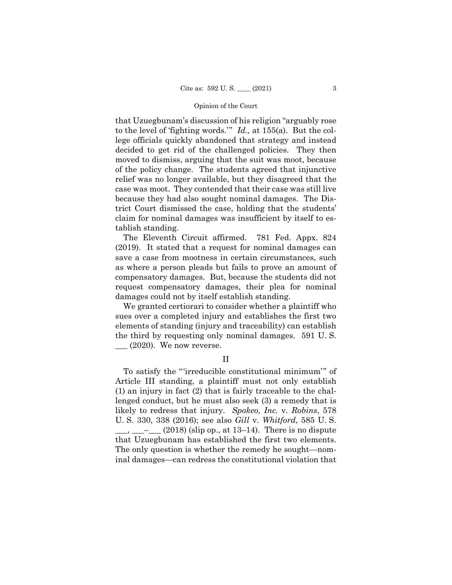that Uzuegbunam's discussion of his religion "arguably rose to the level of 'fighting words.'" *Id.,* at 155(a). But the college officials quickly abandoned that strategy and instead decided to get rid of the challenged policies. They then moved to dismiss, arguing that the suit was moot, because of the policy change. The students agreed that injunctive relief was no longer available, but they disagreed that the case was moot. They contended that their case was still live because they had also sought nominal damages. The District Court dismissed the case, holding that the students' claim for nominal damages was insufficient by itself to establish standing.

The Eleventh Circuit affirmed. 781 Fed. Appx. 824 (2019). It stated that a request for nominal damages can save a case from mootness in certain circumstances, such as where a person pleads but fails to prove an amount of compensatory damages. But, because the students did not request compensatory damages, their plea for nominal damages could not by itself establish standing.

We granted certiorari to consider whether a plaintiff who sues over a completed injury and establishes the first two elements of standing (injury and traceability) can establish the third by requesting only nominal damages. 591 U. S.  $\frac{1}{2020}$ . We now reverse.

# II

To satisfy the "'irreducible constitutional minimum'" of Article III standing, a plaintiff must not only establish (1) an injury in fact (2) that is fairly traceable to the challenged conduct, but he must also seek (3) a remedy that is likely to redress that injury. *Spokeo, Inc.* v. *Robins*, 578 U. S. 330, 338 (2016); see also *Gill* v. *Whitford*, 585 U. S.  $\ldots$   $\ldots$   $\ldots$  (2018) (slip op., at 13–14). There is no dispute that Uzuegbunam has established the first two elements. The only question is whether the remedy he sought—nominal damages—can redress the constitutional violation that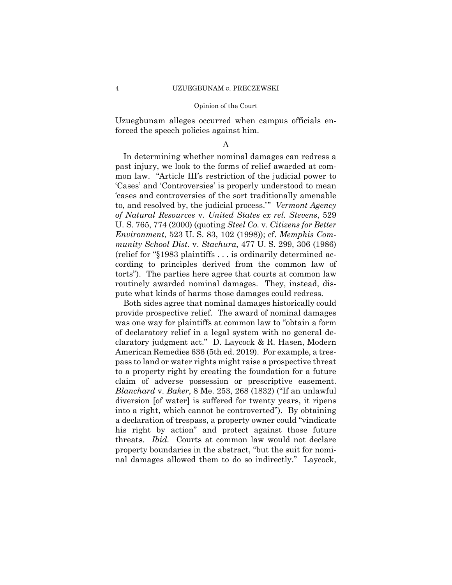Uzuegbunam alleges occurred when campus officials enforced the speech policies against him.

## A

In determining whether nominal damages can redress a past injury, we look to the forms of relief awarded at common law. "Article III's restriction of the judicial power to 'Cases' and 'Controversies' is properly understood to mean 'cases and controversies of the sort traditionally amenable to, and resolved by, the judicial process.'" *Vermont Agency of Natural Resources* v. *United States ex rel. Stevens*, 529 U. S. 765, 774 (2000) (quoting *Steel Co.* v. *Citizens for Better Environment*, 523 U. S. 83, 102 (1998)); cf. *Memphis Community School Dist.* v. *Stachura*, 477 U. S. 299, 306 (1986) (relief for "§1983 plaintiffs . . . is ordinarily determined according to principles derived from the common law of torts"). The parties here agree that courts at common law routinely awarded nominal damages. They, instead, dispute what kinds of harms those damages could redress.

Both sides agree that nominal damages historically could provide prospective relief. The award of nominal damages was one way for plaintiffs at common law to "obtain a form of declaratory relief in a legal system with no general declaratory judgment act." D. Laycock & R. Hasen, Modern American Remedies 636 (5th ed. 2019). For example, a trespass to land or water rights might raise a prospective threat to a property right by creating the foundation for a future claim of adverse possession or prescriptive easement. *Blanchard* v. *Baker*, 8 Me. 253, 268 (1832) ("If an unlawful diversion [of water] is suffered for twenty years, it ripens into a right, which cannot be controverted"). By obtaining a declaration of trespass, a property owner could "vindicate his right by action" and protect against those future threats. *Ibid.* Courts at common law would not declare property boundaries in the abstract, "but the suit for nominal damages allowed them to do so indirectly." Laycock,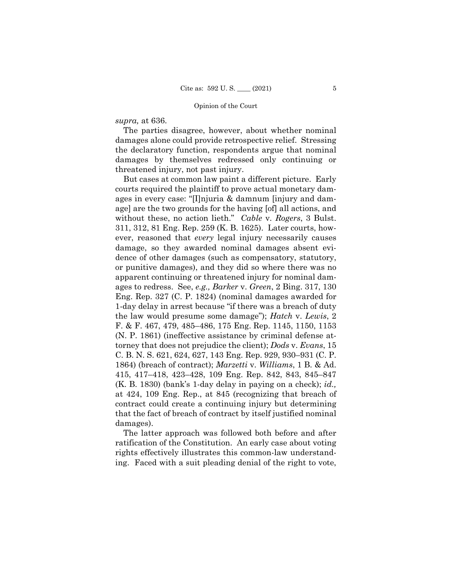*supra,* at 636.

The parties disagree, however, about whether nominal damages alone could provide retrospective relief. Stressing the declaratory function, respondents argue that nominal damages by themselves redressed only continuing or threatened injury, not past injury.

But cases at common law paint a different picture. Early courts required the plaintiff to prove actual monetary damages in every case: "[I]njuria & damnum [injury and damage] are the two grounds for the having [of] all actions, and without these, no action lieth." *Cable* v. *Rogers*, 3 Bulst. 311, 312, 81 Eng. Rep. 259 (K. B. 1625). Later courts, however, reasoned that *every* legal injury necessarily causes damage, so they awarded nominal damages absent evidence of other damages (such as compensatory, statutory, or punitive damages), and they did so where there was no apparent continuing or threatened injury for nominal damages to redress. See, *e.g., Barker* v. *Green*, 2 Bing. 317, 130 Eng. Rep. 327 (C. P. 1824) (nominal damages awarded for 1-day delay in arrest because "if there was a breach of duty the law would presume some damage"); *Hatch* v. *Lewis*, 2 F. & F. 467, 479, 485–486, 175 Eng. Rep. 1145, 1150, 1153 (N. P. 1861) (ineffective assistance by criminal defense attorney that does not prejudice the client); *Dods* v. *Evans*, 15 C. B. N. S. 621, 624, 627, 143 Eng. Rep. 929, 930–931 (C. P. 1864) (breach of contract); *Marzetti* v. *Williams*, 1 B. & Ad. 415, 417–418, 423–428, 109 Eng. Rep. 842, 843, 845–847 (K. B. 1830) (bank's 1-day delay in paying on a check); *id.,*  at 424, 109 Eng. Rep., at 845 (recognizing that breach of contract could create a continuing injury but determining that the fact of breach of contract by itself justified nominal damages).

The latter approach was followed both before and after ratification of the Constitution. An early case about voting rights effectively illustrates this common-law understanding. Faced with a suit pleading denial of the right to vote,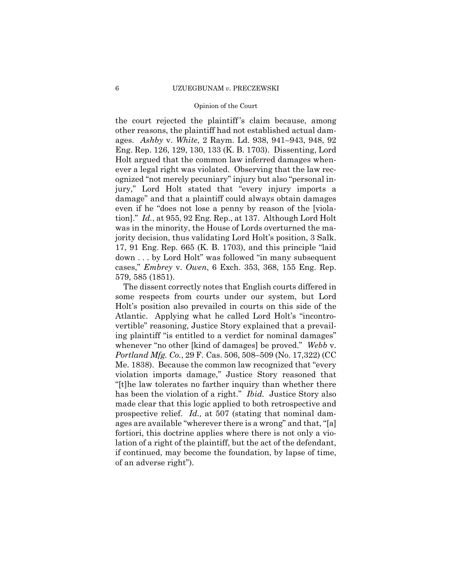the court rejected the plaintiff 's claim because, among other reasons, the plaintiff had not established actual damages. *Ashby* v. *White*, 2 Raym. Ld. 938, 941–943, 948, 92 Eng. Rep. 126, 129, 130, 133 (K. B. 1703). Dissenting, Lord Holt argued that the common law inferred damages whenever a legal right was violated. Observing that the law recognized "not merely pecuniary" injury but also "personal injury," Lord Holt stated that "every injury imports a damage" and that a plaintiff could always obtain damages even if he "does not lose a penny by reason of the [violation]." *Id.*, at 955, 92 Eng. Rep., at 137. Although Lord Holt was in the minority, the House of Lords overturned the majority decision, thus validating Lord Holt's position, 3 Salk. 17, 91 Eng. Rep. 665 (K. B. 1703), and this principle "laid down . . . by Lord Holt" was followed "in many subsequent cases," *Embrey* v. *Owen*, 6 Exch. 353, 368, 155 Eng. Rep. 579, 585 (1851).

 Me. 1838). Because the common law recognized that "every The dissent correctly notes that English courts differed in some respects from courts under our system, but Lord Holt's position also prevailed in courts on this side of the Atlantic. Applying what he called Lord Holt's "incontrovertible" reasoning, Justice Story explained that a prevailing plaintiff "is entitled to a verdict for nominal damages" whenever "no other [kind of damages] be proved." *Webb* v. *Portland Mfg. Co.*, 29 F. Cas. 506, 508–509 (No. 17,322) (CC violation imports damage," Justice Story reasoned that "[t]he law tolerates no farther inquiry than whether there has been the violation of a right." *Ibid.* Justice Story also made clear that this logic applied to both retrospective and prospective relief. *Id.,* at 507 (stating that nominal damages are available "wherever there is a wrong" and that, "[a] fortiori, this doctrine applies where there is not only a violation of a right of the plaintiff, but the act of the defendant, if continued, may become the foundation, by lapse of time, of an adverse right").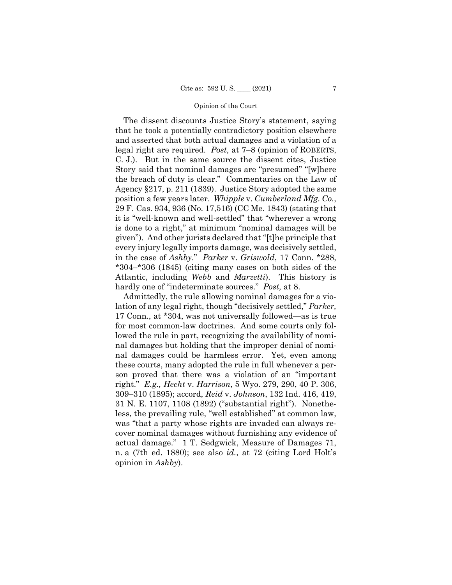The dissent discounts Justice Story's statement, saying that he took a potentially contradictory position elsewhere and asserted that both actual damages and a violation of a legal right are required. *Post,* at 7–8 (opinion of ROBERTS, C. J.). But in the same source the dissent cites, Justice Story said that nominal damages are "presumed" "[w]here the breach of duty is clear." Commentaries on the Law of Agency §217, p. 211 (1839). Justice Story adopted the same position a few years later. *Whipple* v. *Cumberland Mfg. Co.*, 29 F. Cas. 934, 936 (No. 17,516) (CC Me. 1843) (stating that it is "well-known and well-settled" that "wherever a wrong is done to a right," at minimum "nominal damages will be given"). And other jurists declared that "[t]he principle that every injury legally imports damage, was decisively settled, in the case of *Ashby*." *Parker* v. *Griswold*, 17 Conn. \*288, \*304–\*306 (1845) (citing many cases on both sides of the Atlantic, including *Webb* and *Marzetti*). This history is hardly one of "indeterminate sources." *Post,* at 8.

Admittedly, the rule allowing nominal damages for a violation of any legal right, though "decisively settled," *Parker,*  17 Conn., at \*304, was not universally followed—as is true for most common-law doctrines. And some courts only followed the rule in part, recognizing the availability of nominal damages but holding that the improper denial of nominal damages could be harmless error. Yet, even among these courts, many adopted the rule in full whenever a person proved that there was a violation of an "important right." *E.g., Hecht* v. *Harrison*, 5 Wyo. 279, 290, 40 P. 306, 309–310 (1895); accord, *Reid* v. *Johnson*, 132 Ind. 416, 419, 31 N. E. 1107, 1108 (1892) ("substantial right"). Nonetheless, the prevailing rule, "well established" at common law, was "that a party whose rights are invaded can always recover nominal damages without furnishing any evidence of actual damage." 1 T. Sedgwick, Measure of Damages 71, n. a (7th ed. 1880); see also *id.,* at 72 (citing Lord Holt's opinion in *Ashby*).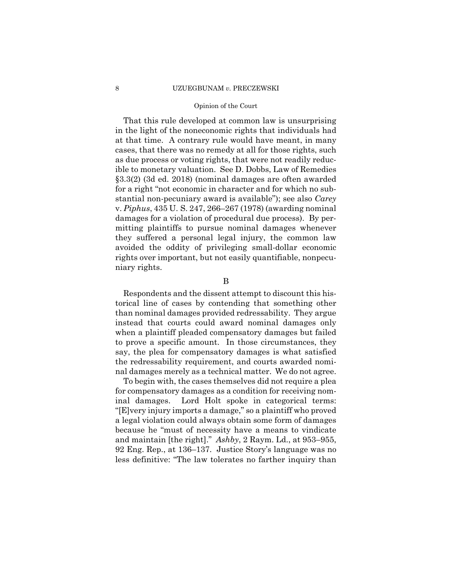## 8 UZUEGBUNAM *v.* PRECZEWSKI

## Opinion of the Court

That this rule developed at common law is unsurprising in the light of the noneconomic rights that individuals had at that time. A contrary rule would have meant, in many cases, that there was no remedy at all for those rights, such as due process or voting rights, that were not readily reducible to monetary valuation. See D. Dobbs, Law of Remedies §3.3(2) (3d ed. 2018) (nominal damages are often awarded for a right "not economic in character and for which no substantial non-pecuniary award is available"); see also *Carey*  v. *Piphus*, 435 U. S. 247, 266–267 (1978) (awarding nominal damages for a violation of procedural due process). By permitting plaintiffs to pursue nominal damages whenever they suffered a personal legal injury, the common law avoided the oddity of privileging small-dollar economic rights over important, but not easily quantifiable, nonpecuniary rights.

B

Respondents and the dissent attempt to discount this historical line of cases by contending that something other than nominal damages provided redressability. They argue instead that courts could award nominal damages only when a plaintiff pleaded compensatory damages but failed to prove a specific amount. In those circumstances, they say, the plea for compensatory damages is what satisfied the redressability requirement, and courts awarded nominal damages merely as a technical matter. We do not agree.

To begin with, the cases themselves did not require a plea for compensatory damages as a condition for receiving nominal damages. Lord Holt spoke in categorical terms: "[E]very injury imports a damage," so a plaintiff who proved a legal violation could always obtain some form of damages because he "must of necessity have a means to vindicate and maintain [the right]." *Ashby*, 2 Raym. Ld., at 953–955, 92 Eng. Rep., at 136–137. Justice Story's language was no less definitive: "The law tolerates no farther inquiry than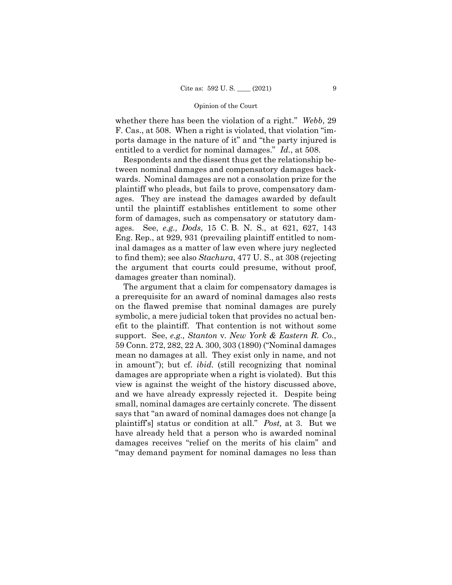whether there has been the violation of a right." *Webb*, 29 F. Cas., at 508. When a right is violated, that violation "imports damage in the nature of it" and "the party injured is entitled to a verdict for nominal damages." *Id.*, at 508.

Respondents and the dissent thus get the relationship between nominal damages and compensatory damages backwards. Nominal damages are not a consolation prize for the plaintiff who pleads, but fails to prove, compensatory damages. They are instead the damages awarded by default until the plaintiff establishes entitlement to some other form of damages, such as compensatory or statutory damages. See, *e.g., Dods*, 15 C. B. N. S., at 621, 627, 143 Eng. Rep., at 929, 931 (prevailing plaintiff entitled to nominal damages as a matter of law even where jury neglected to find them); see also *Stachura*, 477 U. S., at 308 (rejecting the argument that courts could presume, without proof, damages greater than nominal).

The argument that a claim for compensatory damages is a prerequisite for an award of nominal damages also rests on the flawed premise that nominal damages are purely symbolic, a mere judicial token that provides no actual benefit to the plaintiff. That contention is not without some support. See, *e.g., Stanton* v*. New York & Eastern R. Co.*, 59 Conn. 272, 282, 22 A. 300, 303 (1890) ("Nominal damages mean no damages at all. They exist only in name, and not in amount"); but cf. *ibid.* (still recognizing that nominal damages are appropriate when a right is violated). But this view is against the weight of the history discussed above, and we have already expressly rejected it. Despite being small, nominal damages are certainly concrete. The dissent says that "an award of nominal damages does not change [a plaintiff's] status or condition at all." *Post,* at 3. But we have already held that a person who is awarded nominal damages receives "relief on the merits of his claim" and "may demand payment for nominal damages no less than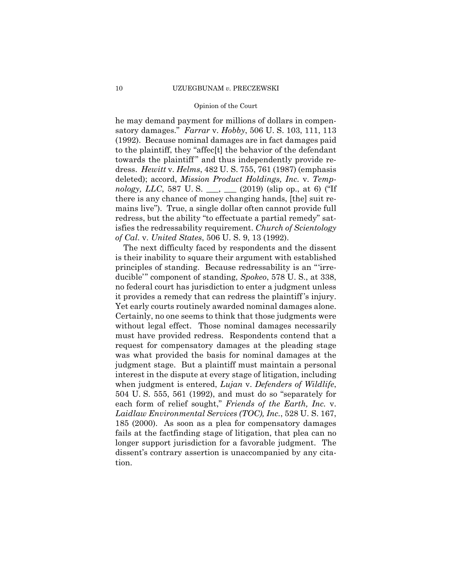he may demand payment for millions of dollars in compensatory damages." *Farrar* v. *Hobby*, 506 U. S. 103, 111, 113 (1992). Because nominal damages are in fact damages paid to the plaintiff, they "affec[t] the behavior of the defendant towards the plaintiff" and thus independently provide redress. *Hewitt* v. *Helms*, 482 U. S. 755, 761 (1987) (emphasis deleted); accord, *Mission Product Holdings, Inc.* v. *Tempnology, LLC*, 587 U.S. \_\_, \_\_ (2019) (slip op., at 6) ("If there is any chance of money changing hands, [the] suit remains live"). True, a single dollar often cannot provide full redress, but the ability "to effectuate a partial remedy" satisfies the redressability requirement. *Church of Scientology of Cal*. v. *United States*, 506 U. S. 9, 13 (1992).

The next difficulty faced by respondents and the dissent is their inability to square their argument with established principles of standing. Because redressability is an "'irreducible'" component of standing, *Spokeo*, 578 U. S., at 338, no federal court has jurisdiction to enter a judgment unless it provides a remedy that can redress the plaintiff 's injury. Yet early courts routinely awarded nominal damages alone. Certainly, no one seems to think that those judgments were without legal effect. Those nominal damages necessarily must have provided redress. Respondents contend that a request for compensatory damages at the pleading stage was what provided the basis for nominal damages at the judgment stage. But a plaintiff must maintain a personal interest in the dispute at every stage of litigation, including when judgment is entered, *Lujan* v. *Defenders of Wildlife*, 504 U. S. 555, 561 (1992), and must do so "separately for each form of relief sought," *Friends of the Earth, Inc.* v. *Laidlaw Environmental Services (TOC), Inc.*, 528 U. S. 167, 185 (2000). As soon as a plea for compensatory damages fails at the factfinding stage of litigation, that plea can no longer support jurisdiction for a favorable judgment. The dissent's contrary assertion is unaccompanied by any citation.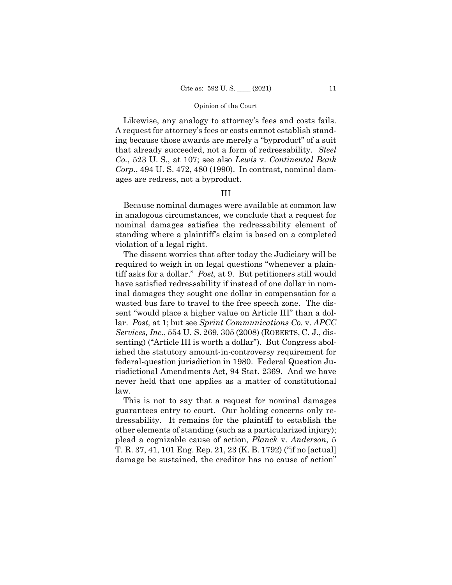Likewise, any analogy to attorney's fees and costs fails. A request for attorney's fees or costs cannot establish standing because those awards are merely a "byproduct" of a suit that already succeeded, not a form of redressability. *Steel Co.*, 523 U. S., at 107; see also *Lewis* v. *Continental Bank Corp.*, 494 U. S. 472, 480 (1990). In contrast, nominal damages are redress, not a byproduct.

# III

Because nominal damages were available at common law in analogous circumstances, we conclude that a request for nominal damages satisfies the redressability element of standing where a plaintiff's claim is based on a completed violation of a legal right.

The dissent worries that after today the Judiciary will be required to weigh in on legal questions "whenever a plaintiff asks for a dollar." *Post,* at 9. But petitioners still would have satisfied redressability if instead of one dollar in nominal damages they sought one dollar in compensation for a wasted bus fare to travel to the free speech zone. The dissent "would place a higher value on Article III" than a dollar. *Post,* at 1; but see *Sprint Communications Co.* v. *APCC Services, Inc.*, 554 U. S. 269, 305 (2008) (ROBERTS, C. J., dissenting) ("Article III is worth a dollar"). But Congress abolished the statutory amount-in-controversy requirement for federal-question jurisdiction in 1980. Federal Question Jurisdictional Amendments Act, 94 Stat. 2369. And we have never held that one applies as a matter of constitutional law.

This is not to say that a request for nominal damages guarantees entry to court. Our holding concerns only redressability. It remains for the plaintiff to establish the other elements of standing (such as a particularized injury); plead a cognizable cause of action, *Planck* v. *Anderson*, 5 T. R. 37, 41, 101 Eng. Rep. 21, 23 (K. B. 1792) ("if no [actual] damage be sustained, the creditor has no cause of action"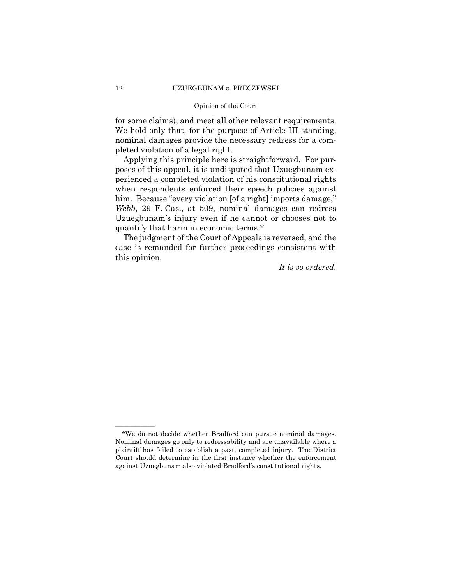for some claims); and meet all other relevant requirements. We hold only that, for the purpose of Article III standing, nominal damages provide the necessary redress for a completed violation of a legal right.

Applying this principle here is straightforward. For purposes of this appeal, it is undisputed that Uzuegbunam experienced a completed violation of his constitutional rights when respondents enforced their speech policies against him. Because "every violation [of a right] imports damage," *Webb*, 29 F. Cas., at 509, nominal damages can redress Uzuegbunam's injury even if he cannot or chooses not to quantify that harm in economic terms.\*

The judgment of the Court of Appeals is reversed, and the case is remanded for further proceedings consistent with this opinion.

*It is so ordered.* 

——————

<sup>\*</sup>We do not decide whether Bradford can pursue nominal damages. Nominal damages go only to redressability and are unavailable where a plaintiff has failed to establish a past, completed injury. The District Court should determine in the first instance whether the enforcement against Uzuegbunam also violated Bradford's constitutional rights.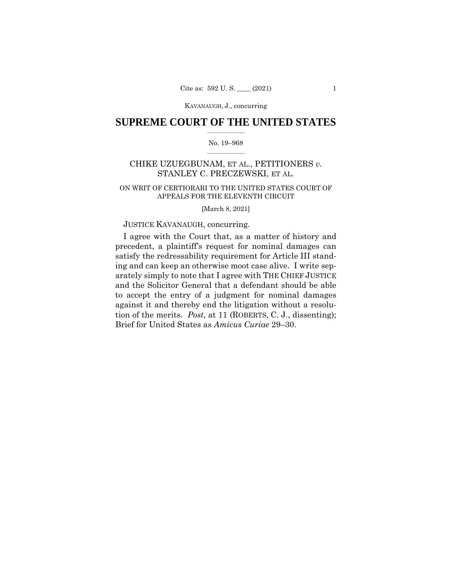KAVANAUGH, J., concurring

# $\frac{1}{2}$  , where  $\frac{1}{2}$ **SUPREME COURT OF THE UNITED STATES**

# $\frac{1}{2}$  ,  $\frac{1}{2}$  ,  $\frac{1}{2}$  ,  $\frac{1}{2}$  ,  $\frac{1}{2}$  ,  $\frac{1}{2}$ No. 19–968

# CHIKE UZUEGBUNAM, ET AL., PETITIONERS *v.*  STANLEY C. PRECZEWSKI, ET AL.

# ON WRIT OF CERTIORARI TO THE UNITED STATES COURT OF APPEALS FOR THE ELEVENTH CIRCUIT

[March 8, 2021]

JUSTICE KAVANAUGH, concurring. I agree with the Court that, as a matter of history and precedent, a plaintiff's request for nominal damages can satisfy the redressability requirement for Article III standing and can keep an otherwise moot case alive. I write separately simply to note that I agree with THE CHIEF JUSTICE and the Solicitor General that a defendant should be able to accept the entry of a judgment for nominal damages against it and thereby end the litigation without a resolution of the merits. *Post*, at 11 (ROBERTS, C. J., dissenting); Brief for United States as *Amicus Curiae* 29–30.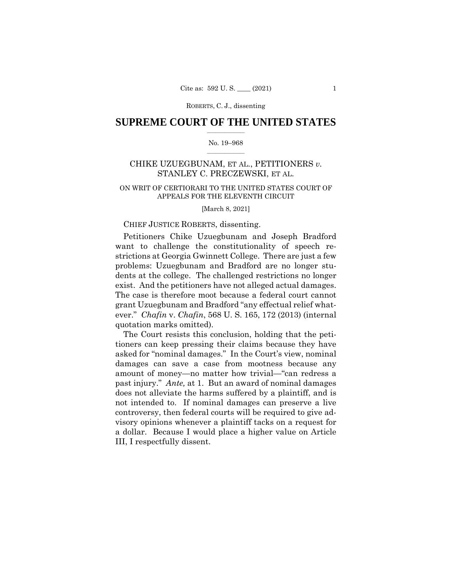# $\frac{1}{2}$  , where  $\frac{1}{2}$ **SUPREME COURT OF THE UNITED STATES**

## $\frac{1}{2}$  ,  $\frac{1}{2}$  ,  $\frac{1}{2}$  ,  $\frac{1}{2}$  ,  $\frac{1}{2}$  ,  $\frac{1}{2}$ No. 19–968

# CHIKE UZUEGBUNAM, ET AL., PETITIONERS *v.*  STANLEY C. PRECZEWSKI, ET AL.

# ON WRIT OF CERTIORARI TO THE UNITED STATES COURT OF APPEALS FOR THE ELEVENTH CIRCUIT

[March 8, 2021]

# CHIEF JUSTICE ROBERTS, dissenting.

 exist. And the petitioners have not alleged actual damages. Petitioners Chike Uzuegbunam and Joseph Bradford want to challenge the constitutionality of speech restrictions at Georgia Gwinnett College. There are just a few problems: Uzuegbunam and Bradford are no longer students at the college. The challenged restrictions no longer The case is therefore moot because a federal court cannot grant Uzuegbunam and Bradford "any effectual relief whatever." *Chafin* v. *Chafin*, 568 U. S. 165, 172 (2013) (internal quotation marks omitted).

 past injury." *Ante,* at 1. But an award of nominal damages The Court resists this conclusion, holding that the petitioners can keep pressing their claims because they have asked for "nominal damages." In the Court's view, nominal damages can save a case from mootness because any amount of money—no matter how trivial—"can redress a does not alleviate the harms suffered by a plaintiff, and is not intended to. If nominal damages can preserve a live controversy, then federal courts will be required to give advisory opinions whenever a plaintiff tacks on a request for a dollar. Because I would place a higher value on Article III, I respectfully dissent.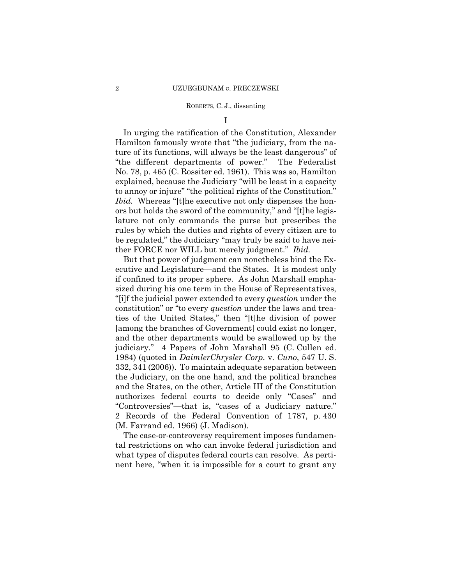I

In urging the ratification of the Constitution, Alexander Hamilton famously wrote that "the judiciary, from the nature of its functions, will always be the least dangerous" of "the different departments of power." The Federalist No. 78, p. 465 (C. Rossiter ed. 1961). This was so, Hamilton explained, because the Judiciary "will be least in a capacity to annoy or injure" "the political rights of the Constitution." *Ibid.* Whereas "[t]he executive not only dispenses the honors but holds the sword of the community," and "[t]he legislature not only commands the purse but prescribes the rules by which the duties and rights of every citizen are to be regulated," the Judiciary "may truly be said to have neither FORCE nor WILL but merely judgment." *Ibid.* 

But that power of judgment can nonetheless bind the Executive and Legislature—and the States. It is modest only if confined to its proper sphere. As John Marshall emphasized during his one term in the House of Representatives, "[i]f the judicial power extended to every *question* under the constitution" or "to every *question* under the laws and treaties of the United States," then "[t]he division of power [among the branches of Government] could exist no longer, and the other departments would be swallowed up by the judiciary." 4 Papers of John Marshall 95 (C. Cullen ed. 1984) (quoted in *DaimlerChrysler Corp.* v. *Cuno*, 547 U. S. 332, 341 (2006)). To maintain adequate separation between the Judiciary, on the one hand, and the political branches and the States, on the other, Article III of the Constitution authorizes federal courts to decide only "Cases" and "Controversies"—that is, "cases of a Judiciary nature." 2 Records of the Federal Convention of 1787, p. 430 (M. Farrand ed. 1966) (J. Madison).

The case-or-controversy requirement imposes fundamental restrictions on who can invoke federal jurisdiction and what types of disputes federal courts can resolve. As pertinent here, "when it is impossible for a court to grant any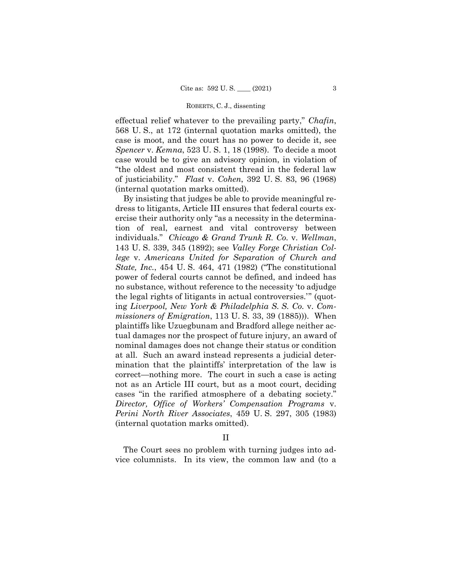effectual relief whatever to the prevailing party," *Chafin*, 568 U. S., at 172 (internal quotation marks omitted), the case is moot, and the court has no power to decide it, see *Spencer* v. *Kemna*, 523 U. S. 1, 18 (1998). To decide a moot case would be to give an advisory opinion, in violation of "the oldest and most consistent thread in the federal law of justiciability." *Flast* v. *Cohen*, 392 U. S. 83, 96 (1968) (internal quotation marks omitted).

By insisting that judges be able to provide meaningful redress to litigants, Article III ensures that federal courts exercise their authority only "as a necessity in the determination of real, earnest and vital controversy between individuals." *Chicago & Grand Trunk R. Co.* v. *Wellman*, 143 U. S. 339, 345 (1892); see *Valley Forge Christian College* v. *Americans United for Separation of Church and State, Inc.*, 454 U. S. 464, 471 (1982) ("The constitutional power of federal courts cannot be defined, and indeed has no substance, without reference to the necessity 'to adjudge the legal rights of litigants in actual controversies.'" (quoting *Liverpool, New York & Philadelphia S. S. Co.* v. *Commissioners of Emigration*, 113 U. S. 33, 39 (1885))). When plaintiffs like Uzuegbunam and Bradford allege neither actual damages nor the prospect of future injury, an award of nominal damages does not change their status or condition at all. Such an award instead represents a judicial determination that the plaintiffs' interpretation of the law is correct—nothing more. The court in such a case is acting not as an Article III court, but as a moot court, deciding cases "in the rarified atmosphere of a debating society." *Director, Office of Workers' Compensation Programs* v. *Perini North River Associates*, 459 U. S. 297, 305 (1983) (internal quotation marks omitted).

The Court sees no problem with turning judges into advice columnists. In its view, the common law and (to a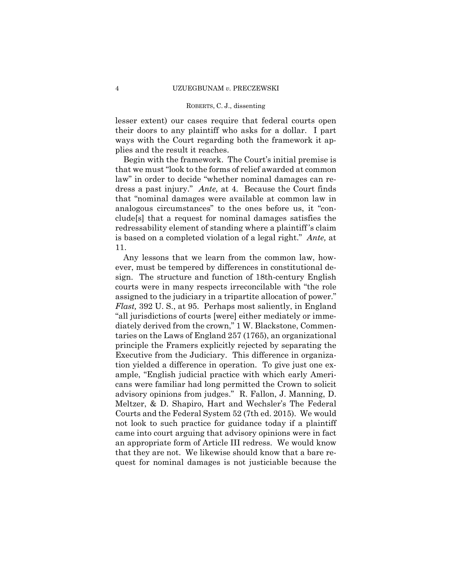lesser extent) our cases require that federal courts open their doors to any plaintiff who asks for a dollar. I part ways with the Court regarding both the framework it applies and the result it reaches.

 dress a past injury." *Ante,* at 4. Because the Court finds Begin with the framework. The Court's initial premise is that we must "look to the forms of relief awarded at common law" in order to decide "whether nominal damages can rethat "nominal damages were available at common law in analogous circumstances" to the ones before us, it "conclude[s] that a request for nominal damages satisfies the redressability element of standing where a plaintiff 's claim is based on a completed violation of a legal right." *Ante,* at 11.

Any lessons that we learn from the common law, however, must be tempered by differences in constitutional design. The structure and function of 18th-century English courts were in many respects irreconcilable with "the role assigned to the judiciary in a tripartite allocation of power." *Flast,* 392 U. S., at 95. Perhaps most saliently, in England "all jurisdictions of courts [were] either mediately or immediately derived from the crown," 1 W. Blackstone, Commentaries on the Laws of England 257 (1765), an organizational principle the Framers explicitly rejected by separating the Executive from the Judiciary. This difference in organization yielded a difference in operation. To give just one example, "English judicial practice with which early Americans were familiar had long permitted the Crown to solicit advisory opinions from judges." R. Fallon, J. Manning, D. Meltzer, & D. Shapiro, Hart and Wechsler's The Federal Courts and the Federal System 52 (7th ed. 2015). We would not look to such practice for guidance today if a plaintiff came into court arguing that advisory opinions were in fact an appropriate form of Article III redress. We would know that they are not. We likewise should know that a bare request for nominal damages is not justiciable because the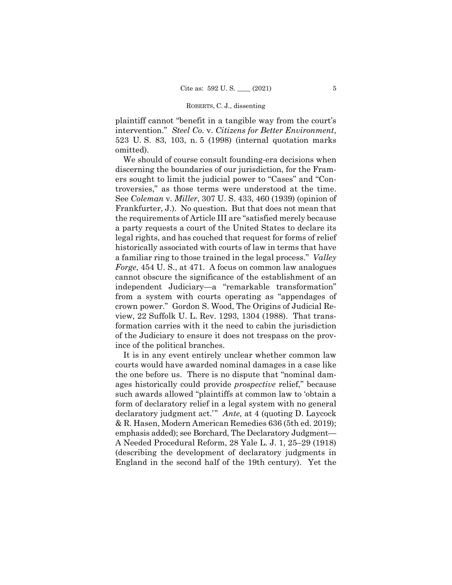plaintiff cannot "benefit in a tangible way from the court's intervention." *Steel Co.* v. *Citizens for Better Environment*, 523 U. S. 83, 103, n. 5 (1998) (internal quotation marks omitted).

We should of course consult founding-era decisions when discerning the boundaries of our jurisdiction, for the Framers sought to limit the judicial power to "Cases" and "Controversies," as those terms were understood at the time. See *Coleman* v. *Miller*, 307 U. S. 433, 460 (1939) (opinion of Frankfurter, J.). No question. But that does not mean that the requirements of Article III are "satisfied merely because a party requests a court of the United States to declare its legal rights, and has couched that request for forms of relief historically associated with courts of law in terms that have a familiar ring to those trained in the legal process." *Valley Forge*, 454 U. S., at 471. A focus on common law analogues cannot obscure the significance of the establishment of an independent Judiciary—a "remarkable transformation" from a system with courts operating as "appendages of crown power." Gordon S. Wood, The Origins of Judicial Review, 22 Suffolk U. L. Rev. 1293, 1304 (1988). That transformation carries with it the need to cabin the jurisdiction of the Judiciary to ensure it does not trespass on the province of the political branches.

It is in any event entirely unclear whether common law courts would have awarded nominal damages in a case like the one before us. There is no dispute that "nominal damages historically could provide *prospective* relief," because such awards allowed "plaintiffs at common law to 'obtain a form of declaratory relief in a legal system with no general declaratory judgment act.'" *Ante,* at 4 (quoting D. Laycock & R. Hasen, Modern American Remedies 636 (5th ed. 2019); emphasis added); see Borchard, The Declaratory Judgment— A Needed Procedural Reform, 28 Yale L. J. 1, 25–29 (1918) (describing the development of declaratory judgments in England in the second half of the 19th century). Yet the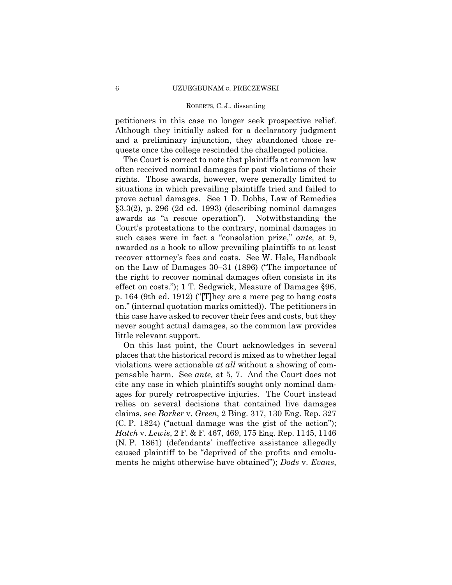petitioners in this case no longer seek prospective relief. Although they initially asked for a declaratory judgment and a preliminary injunction, they abandoned those requests once the college rescinded the challenged policies.

The Court is correct to note that plaintiffs at common law often received nominal damages for past violations of their rights. Those awards, however, were generally limited to situations in which prevailing plaintiffs tried and failed to prove actual damages. See 1 D. Dobbs, Law of Remedies §3.3(2), p. 296 (2d ed. 1993) (describing nominal damages awards as "a rescue operation"). Notwithstanding the Court's protestations to the contrary, nominal damages in such cases were in fact a "consolation prize," *ante,* at 9, awarded as a hook to allow prevailing plaintiffs to at least recover attorney's fees and costs. See W. Hale, Handbook on the Law of Damages 30–31 (1896) ("The importance of the right to recover nominal damages often consists in its effect on costs."); 1 T. Sedgwick, Measure of Damages §96, p. 164 (9th ed. 1912) ("[T]hey are a mere peg to hang costs on." (internal quotation marks omitted)). The petitioners in this case have asked to recover their fees and costs, but they never sought actual damages, so the common law provides little relevant support.

On this last point, the Court acknowledges in several places that the historical record is mixed as to whether legal violations were actionable *at all* without a showing of compensable harm. See *ante,* at 5, 7. And the Court does not cite any case in which plaintiffs sought only nominal damages for purely retrospective injuries. The Court instead relies on several decisions that contained live damages claims, see *Barker* v. *Green*, 2 Bing. 317, 130 Eng. Rep. 327 (C. P. 1824) ("actual damage was the gist of the action"); *Hatch* v. *Lewis*, 2 F. & F. 467, 469, 175 Eng. Rep. 1145, 1146 (N. P. 1861) (defendants' ineffective assistance allegedly caused plaintiff to be "deprived of the profits and emoluments he might otherwise have obtained"); *Dods* v. *Evans*,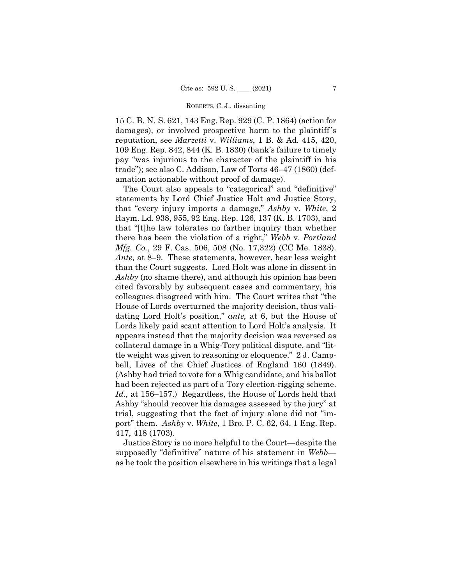15 C. B. N. S. 621, 143 Eng. Rep. 929 (C. P. 1864) (action for damages), or involved prospective harm to the plaintiff 's reputation, see *Marzetti* v. *Williams*, 1 B. & Ad. 415, 420, 109 Eng. Rep. 842, 844 (K. B. 1830) (bank's failure to timely pay "was injurious to the character of the plaintiff in his trade"); see also C. Addison, Law of Torts 46–47 (1860) (defamation actionable without proof of damage).

The Court also appeals to "categorical" and "definitive" statements by Lord Chief Justice Holt and Justice Story, that "every injury imports a damage," *Ashby* v. *White*, 2 Raym. Ld. 938, 955, 92 Eng. Rep. 126, 137 (K. B. 1703), and that "[t]he law tolerates no farther inquiry than whether there has been the violation of a right," *Webb* v. *Portland Mfg. Co.*, 29 F. Cas. 506, 508 (No. 17,322) (CC Me. 1838). *Ante,* at 8–9. These statements, however, bear less weight than the Court suggests. Lord Holt was alone in dissent in *Ashby* (no shame there), and although his opinion has been cited favorably by subsequent cases and commentary, his colleagues disagreed with him. The Court writes that "the House of Lords overturned the majority decision, thus validating Lord Holt's position," *ante,* at 6, but the House of Lords likely paid scant attention to Lord Holt's analysis. It appears instead that the majority decision was reversed as collateral damage in a Whig-Tory political dispute, and "little weight was given to reasoning or eloquence." 2 J. Campbell, Lives of the Chief Justices of England 160 (1849). (Ashby had tried to vote for a Whig candidate, and his ballot had been rejected as part of a Tory election-rigging scheme. *Id.,* at 156–157.) Regardless, the House of Lords held that Ashby "should recover his damages assessed by the jury" at trial, suggesting that the fact of injury alone did not "import" them. *Ashby* v. *White*, 1 Bro. P. C. 62, 64, 1 Eng. Rep. 417, 418 (1703).

Justice Story is no more helpful to the Court—despite the supposedly "definitive" nature of his statement in *Webb* as he took the position elsewhere in his writings that a legal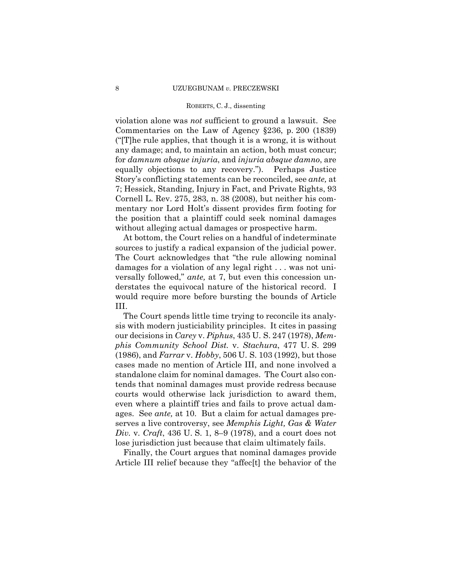violation alone was *not* sufficient to ground a lawsuit. See Commentaries on the Law of Agency §236, p. 200 (1839) ("[T]he rule applies, that though it is a wrong, it is without any damage; and, to maintain an action, both must concur; for *damnum absque injuria*, and *injuria absque damno*, are equally objections to any recovery."). Perhaps Justice Story's conflicting statements can be reconciled, see *ante,* at 7; Hessick, Standing, Injury in Fact, and Private Rights, 93 Cornell L. Rev. 275, 283, n. 38 (2008), but neither his commentary nor Lord Holt's dissent provides firm footing for the position that a plaintiff could seek nominal damages without alleging actual damages or prospective harm.

At bottom, the Court relies on a handful of indeterminate sources to justify a radical expansion of the judicial power. The Court acknowledges that "the rule allowing nominal damages for a violation of any legal right . . . was not universally followed," *ante,* at 7, but even this concession understates the equivocal nature of the historical record. I would require more before bursting the bounds of Article III.

The Court spends little time trying to reconcile its analysis with modern justiciability principles. It cites in passing our decisions in *Carey* v. *Piphus*, 435 U. S. 247 (1978), *Memphis Community School Dist.* v. *Stachura*, 477 U. S. 299 (1986), and *Farrar* v. *Hobby*, 506 U. S. 103 (1992), but those cases made no mention of Article III, and none involved a standalone claim for nominal damages. The Court also contends that nominal damages must provide redress because courts would otherwise lack jurisdiction to award them, even where a plaintiff tries and fails to prove actual damages. See *ante,* at 10. But a claim for actual damages preserves a live controversy, see *Memphis Light, Gas & Water Div.* v. *Craft*, 436 U. S. 1, 8–9 (1978), and a court does not lose jurisdiction just because that claim ultimately fails.

Finally, the Court argues that nominal damages provide Article III relief because they "affec[t] the behavior of the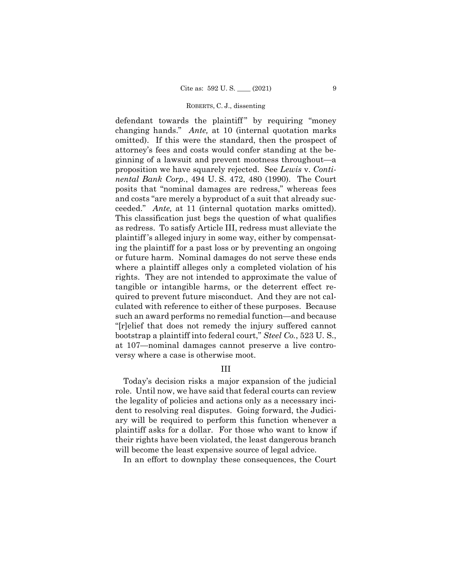ceeded." *Ante,* at 11 (internal quotation marks omitted). defendant towards the plaintiff" by requiring "money changing hands." *Ante,* at 10 (internal quotation marks omitted). If this were the standard, then the prospect of attorney's fees and costs would confer standing at the beginning of a lawsuit and prevent mootness throughout—a proposition we have squarely rejected. See *Lewis* v. *Continental Bank Corp.*, 494 U. S. 472, 480 (1990). The Court posits that "nominal damages are redress," whereas fees and costs "are merely a byproduct of a suit that already suc-This classification just begs the question of what qualifies as redress. To satisfy Article III, redress must alleviate the plaintiff 's alleged injury in some way, either by compensating the plaintiff for a past loss or by preventing an ongoing or future harm. Nominal damages do not serve these ends where a plaintiff alleges only a completed violation of his rights. They are not intended to approximate the value of tangible or intangible harms, or the deterrent effect required to prevent future misconduct. And they are not calculated with reference to either of these purposes. Because such an award performs no remedial function—and because "[r]elief that does not remedy the injury suffered cannot bootstrap a plaintiff into federal court," *Steel Co.*, 523 U. S., at 107—nominal damages cannot preserve a live controversy where a case is otherwise moot.

# III

Today's decision risks a major expansion of the judicial role. Until now, we have said that federal courts can review the legality of policies and actions only as a necessary incident to resolving real disputes. Going forward, the Judiciary will be required to perform this function whenever a plaintiff asks for a dollar. For those who want to know if their rights have been violated, the least dangerous branch will become the least expensive source of legal advice.

In an effort to downplay these consequences, the Court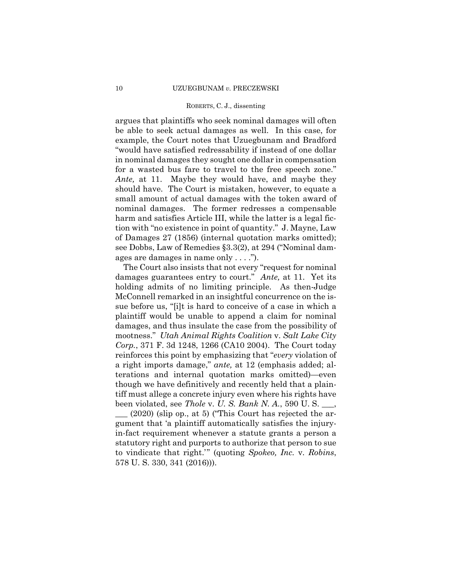argues that plaintiffs who seek nominal damages will often be able to seek actual damages as well. In this case, for example, the Court notes that Uzuegbunam and Bradford "would have satisfied redressability if instead of one dollar in nominal damages they sought one dollar in compensation for a wasted bus fare to travel to the free speech zone." *Ante,* at 11. Maybe they would have, and maybe they should have. The Court is mistaken, however, to equate a small amount of actual damages with the token award of nominal damages. The former redresses a compensable harm and satisfies Article III, while the latter is a legal fiction with "no existence in point of quantity." J. Mayne, Law of Damages 27 (1856) (internal quotation marks omitted); see Dobbs, Law of Remedies §3.3(2), at 294 ("Nominal damages are damages in name only . . . .").

The Court also insists that not every "request for nominal damages guarantees entry to court." *Ante,* at 11. Yet its holding admits of no limiting principle. As then-Judge McConnell remarked in an insightful concurrence on the issue before us, "[i]t is hard to conceive of a case in which a plaintiff would be unable to append a claim for nominal damages, and thus insulate the case from the possibility of mootness." *Utah Animal Rights Coalition* v. *Salt Lake City Corp.*, 371 F. 3d 1248, 1266 (CA10 2004). The Court today reinforces this point by emphasizing that "*every* violation of a right imports damage," *ante,* at 12 (emphasis added; alterations and internal quotation marks omitted)—even though we have definitively and recently held that a plaintiff must allege a concrete injury even where his rights have been violated, see *Thole* v. *U. S. Bank N. A.*, 590 U. S. \_\_\_,

 in-fact requirement whenever a statute grants a person a  $\frac{1}{2}$  (2020) (slip op., at 5) ("This Court has rejected the argument that 'a plaintiff automatically satisfies the injurystatutory right and purports to authorize that person to sue to vindicate that right.'" (quoting *Spokeo, Inc.* v. *Robins*, 578 U. S. 330, 341 (2016))).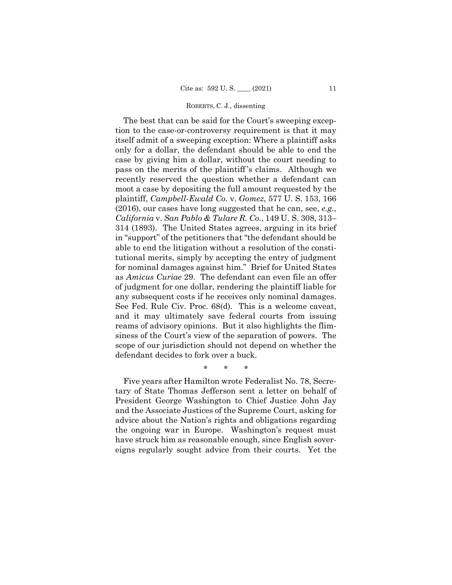The best that can be said for the Court's sweeping exception to the case-or-controversy requirement is that it may itself admit of a sweeping exception: Where a plaintiff asks only for a dollar, the defendant should be able to end the case by giving him a dollar, without the court needing to pass on the merits of the plaintiff 's claims. Although we recently reserved the question whether a defendant can moot a case by depositing the full amount requested by the plaintiff, *Campbell-Ewald Co.* v. *Gomez*, 577 U. S. 153, 166 (2016), our cases have long suggested that he can, see, *e.g., California* v. *San Pablo & Tulare R. Co.*, 149 U. S. 308, 313– 314 (1893). The United States agrees, arguing in its brief in "support" of the petitioners that "the defendant should be able to end the litigation without a resolution of the constitutional merits, simply by accepting the entry of judgment for nominal damages against him." Brief for United States as *Amicus Curiae* 29. The defendant can even file an offer of judgment for one dollar, rendering the plaintiff liable for any subsequent costs if he receives only nominal damages. See Fed. Rule Civ. Proc. 68(d). This is a welcome caveat, and it may ultimately save federal courts from issuing reams of advisory opinions. But it also highlights the flimsiness of the Court's view of the separation of powers. The scope of our jurisdiction should not depend on whether the defendant decides to fork over a buck.

\* \* \*

Five years after Hamilton wrote Federalist No. 78, Secretary of State Thomas Jefferson sent a letter on behalf of President George Washington to Chief Justice John Jay and the Associate Justices of the Supreme Court, asking for advice about the Nation's rights and obligations regarding the ongoing war in Europe. Washington's request must have struck him as reasonable enough, since English sovereigns regularly sought advice from their courts. Yet the